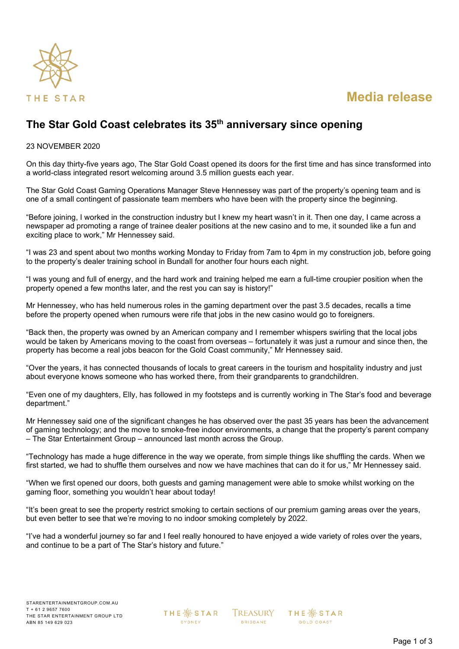

# **Media release**

## **The Star Gold Coast celebrates its 35th anniversary since opening**

#### 23 NOVEMBER 2020

On this day thirty-five years ago, The Star Gold Coast opened its doors for the first time and has since transformed into a world-class integrated resort welcoming around 3.5 million guests each year.

The Star Gold Coast Gaming Operations Manager Steve Hennessey was part of the property's opening team and is one of a small contingent of passionate team members who have been with the property since the beginning.

"Before joining, I worked in the construction industry but I knew my heart wasn't in it. Then one day, I came across a newspaper ad promoting a range of trainee dealer positions at the new casino and to me, it sounded like a fun and exciting place to work," Mr Hennessey said.

"I was 23 and spent about two months working Monday to Friday from 7am to 4pm in my construction job, before going to the property's dealer training school in Bundall for another four hours each night.

"I was young and full of energy, and the hard work and training helped me earn a full-time croupier position when the property opened a few months later, and the rest you can say is history!"

Mr Hennessey, who has held numerous roles in the gaming department over the past 3.5 decades, recalls a time before the property opened when rumours were rife that jobs in the new casino would go to foreigners.

"Back then, the property was owned by an American company and I remember whispers swirling that the local jobs would be taken by Americans moving to the coast from overseas – fortunately it was just a rumour and since then, the property has become a real jobs beacon for the Gold Coast community," Mr Hennessey said.

"Over the years, it has connected thousands of locals to great careers in the tourism and hospitality industry and just about everyone knows someone who has worked there, from their grandparents to grandchildren.

"Even one of my daughters, Elly, has followed in my footsteps and is currently working in The Star's food and beverage department."

Mr Hennessey said one of the significant changes he has observed over the past 35 years has been the advancement of gaming technology; and the move to smoke-free indoor environments, a change that the property's parent company – The Star Entertainment Group – announced last month across the Group.

"Technology has made a huge difference in the way we operate, from simple things like shuffling the cards. When we first started, we had to shuffle them ourselves and now we have machines that can do it for us," Mr Hennessey said.

"When we first opened our doors, both guests and gaming management were able to smoke whilst working on the gaming floor, something you wouldn't hear about today!

"It's been great to see the property restrict smoking to certain sections of our premium gaming areas over the years, but even better to see that we're moving to no indoor smoking completely by 2022.

"I've had a wonderful journey so far and I feel really honoured to have enjoyed a wide variety of roles over the years, and continue to be a part of The Star's history and future."

**THE ※ STAR** SYDNEY

**TREASURY BRISBANE** 

**THE ※STAR GOLD COAST**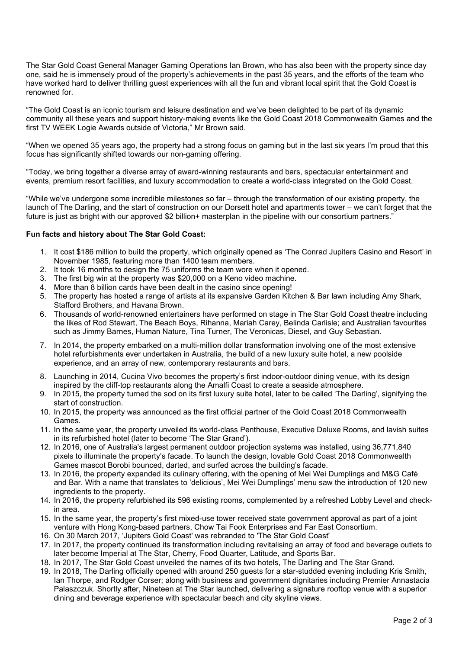The Star Gold Coast General Manager Gaming Operations Ian Brown, who has also been with the property since day one, said he is immensely proud of the property's achievements in the past 35 years, and the efforts of the team who have worked hard to deliver thrilling guest experiences with all the fun and vibrant local spirit that the Gold Coast is renowned for.

"The Gold Coast is an iconic tourism and leisure destination and we've been delighted to be part of its dynamic community all these years and support history-making events like the Gold Coast 2018 Commonwealth Games and the first TV WEEK Logie Awards outside of Victoria," Mr Brown said.

"When we opened 35 years ago, the property had a strong focus on gaming but in the last six years I'm proud that this focus has significantly shifted towards our non-gaming offering.

"Today, we bring together a diverse array of award-winning restaurants and bars, spectacular entertainment and events, premium resort facilities, and luxury accommodation to create a world-class integrated on the Gold Coast.

"While we've undergone some incredible milestones so far – through the transformation of our existing property, the launch of The Darling, and the start of construction on our Dorsett hotel and apartments tower – we can't forget that the future is just as bright with our approved \$2 billion+ masterplan in the pipeline with our consortium partners."

#### **Fun facts and history about The Star Gold Coast:**

- 1. It cost \$186 million to build the property, which originally opened as 'The Conrad Jupiters Casino and Resort' in November 1985, featuring more than 1400 team members.
- 2. It took 16 months to design the 75 uniforms the team wore when it opened.
- 3. The first big win at the property was \$20,000 on a Keno video machine.
- 4. More than 8 billion cards have been dealt in the casino since opening!
- 5. The property has hosted a range of artists at its expansive Garden Kitchen & Bar lawn including Amy Shark, Stafford Brothers, and Havana Brown.
- 6. Thousands of world-renowned entertainers have performed on stage in The Star Gold Coast theatre including the likes of Rod Stewart, The Beach Boys, Rihanna, Mariah Carey, Belinda Carlisle; and Australian favourites such as Jimmy Barnes, Human Nature, Tina Turner, The Veronicas, Diesel, and Guy Sebastian.
- 7. In 2014, the property embarked on a multi-million dollar transformation involving one of the most extensive hotel refurbishments ever undertaken in Australia, the build of a new luxury suite hotel, a new poolside experience, and an array of new, contemporary restaurants and bars.
- 8. Launching in 2014, Cucina Vivo becomes the property's first indoor-outdoor dining venue, with its design inspired by the cliff-top restaurants along the Amalfi Coast to create a seaside atmosphere.
- 9. In 2015, the property turned the sod on its first luxury suite hotel, later to be called 'The Darling', signifying the start of construction.
- 10. In 2015, the property was announced as the first official partner of the Gold Coast 2018 Commonwealth Games.
- 11. In the same year, the property unveiled its world-class Penthouse, Executive Deluxe Rooms, and lavish suites in its refurbished hotel (later to become 'The Star Grand').
- 12. In 2016, one of Australia's largest permanent outdoor projection systems was installed, using 36,771,840 pixels to illuminate the property's facade. To launch the design, lovable Gold Coast 2018 Commonwealth Games mascot Borobi bounced, darted, and surfed across the building's facade.
- 13. In 2016, the property expanded its culinary offering, with the opening of Mei Wei Dumplings and M&G Café and Bar. With a name that translates to 'delicious', Mei Wei Dumplings' menu saw the introduction of 120 new ingredients to the property.
- 14. In 2016, the property refurbished its 596 existing rooms, complemented by a refreshed Lobby Level and checkin area.
- 15. In the same year, the property's first mixed-use tower received state government approval as part of a joint venture with Hong Kong-based partners, Chow Tai Fook Enterprises and Far East Consortium.
- 16. On 30 March 2017, 'Jupiters Gold Coast' was rebranded to 'The Star Gold Coast'
- 17. In 2017, the property continued its transformation including revitalising an array of food and beverage outlets to later become Imperial at The Star, Cherry, Food Quarter, Latitude, and Sports Bar.
- 18. In 2017, The Star Gold Coast unveiled the names of its two hotels, The Darling and The Star Grand.
- 19. In 2018, The Darling officially opened with around 250 guests for a star-studded evening including Kris Smith, Ian Thorpe, and Rodger Corser; along with business and government dignitaries including Premier Annastacia Palaszczuk. Shortly after, Nineteen at The Star launched, delivering a signature rooftop venue with a superior dining and beverage experience with spectacular beach and city skyline views.